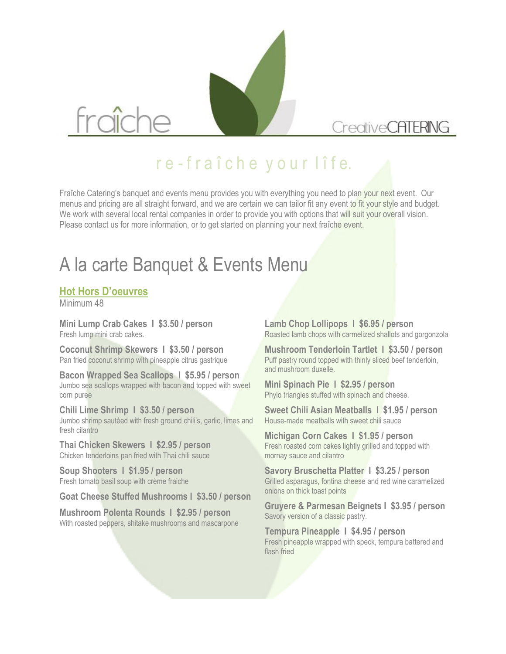



### CreativeCATFRING

# re-fraîche your lîfe.

Fraîche Catering's banquet and events menu provides you with everything you need to plan your next event. Our menus and pricing are all straight forward, and we are certain we can tailor fit any event to fit your style and budget. We work with several local rental companies in order to provide you with options that will suit your overall vision. Please contact us for more information, or to get started on planning your next fraîche event.

# A la carte Banquet & Events Menu

### **Hot Hors D'oeuvres**

Minimum 48

**Mini Lump Crab Cakes I \$3.50 / person** Fresh lump mini crab cakes.

**Coconut Shrimp Skewers I \$3.50 / person** Pan fried coconut shrimp with pineapple citrus gastrique

**Bacon Wrapped Sea Scallops I \$5.95 / person** Jumbo sea scallops wrapped with bacon and topped with sweet corn puree

**Chili Lime Shrimp I \$3.50 / person** Jumbo shrimp sautéed with fresh ground chili's, garlic, limes and fresh cilantro

**Thai Chicken Skewers I \$2.95 / person** Chicken tenderloins pan fried with Thai chili sauce

**Soup Shooters I \$1.95 / person** Fresh tomato basil soup with crème fraiche

**Goat Cheese Stuffed Mushrooms I \$3.50 / person**

**Mushroom Polenta Rounds I \$2.95 / person** With roasted peppers, shitake mushrooms and mascarpone **Lamb Chop Lollipops I \$6.95 / person** Roasted lamb chops with carmelized shallots and gorgonzola

**Mushroom Tenderloin Tartlet I \$3.50 / person** Puff pastry round topped with thinly sliced beef tenderloin, and mushroom duxelle.

**Mini Spinach Pie I \$2.95 / person** Phylo triangles stuffed with spinach and cheese.

**Sweet Chili Asian Meatballs I \$1.95 / person** House-made meatballs with sweet chili sauce

**Michigan Corn Cakes I \$1.95 / person** Fresh roasted corn cakes lightly grilled and topped with mornay sauce and cilantro

**Savory Bruschetta Platter I \$3.25 / person** Grilled asparagus, fontina cheese and red wine caramelized onions on thick toast points

**Gruyere & Parmesan Beignets I \$3.95 / person** Savory version of a classic pastry.

**Tempura Pineapple I \$4.95 / person** Fresh pineapple wrapped with speck, tempura battered and flash fried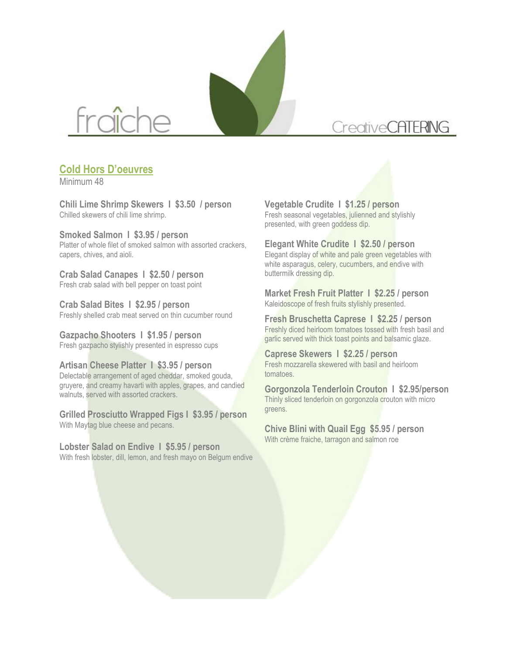

## Creative**CATFRING**

### **Cold Hors D'oeuvres**

Minimum 48

**Chili Lime Shrimp Skewers I \$3.50 / person** Chilled skewers of chili lime shrimp.

**Smoked Salmon I \$3.95 / person** Platter of whole filet of smoked salmon with assorted crackers, capers, chives, and aioli.

**Crab Salad Canapes I \$2.50 / person** Fresh crab salad with bell pepper on toast point

**Crab Salad Bites I \$2.95 / person** Freshly shelled crab meat served on thin cucumber round

**Gazpacho Shooters I \$1.95 / person** Fresh gazpacho stylishly presented in espresso cups

**Artisan Cheese Platter I \$3.95 / person** Delectable arrangement of aged cheddar, smoked gouda, gruyere, and creamy havarti with apples, grapes, and candied walnuts, served with assorted crackers.

**Grilled Prosciutto Wrapped Figs I \$3.95 / person** With Maytag blue cheese and pecans.

**Lobster Salad on Endive I \$5.95 / person** With fresh lobster, dill, lemon, and fresh mayo on Belgum endive **Vegetable Crudite I \$1.25 / person** Fresh seasonal vegetables, julienned and stylishly presented, with green goddess dip.

**Elegant White Crudite I \$2.50 / person**

Elegant display of white and pale green vegetables with white asparagus, celery, cucumbers, and endive with buttermilk dressing dip.

**Market Fresh Fruit Platter I \$2.25 / person** Kaleidoscope of fresh fruits stylishly presented.

**Fresh Bruschetta Caprese I \$2.25 / person** Freshly diced heirloom tomatoes tossed with fresh basil and garlic served with thick toast points and balsamic glaze.

**Caprese Skewers I \$2.25 / person** Fresh mozzarella skewered with basil and heirloom tomatoes.

**Gorgonzola Tenderloin Crouton I \$2.95/person** Thinly sliced tenderloin on gorgonzola crouton with micro greens.

**Chive Blini with QuaiI Egg \$5.95 / person** With crème fraiche, tarragon and salmon roe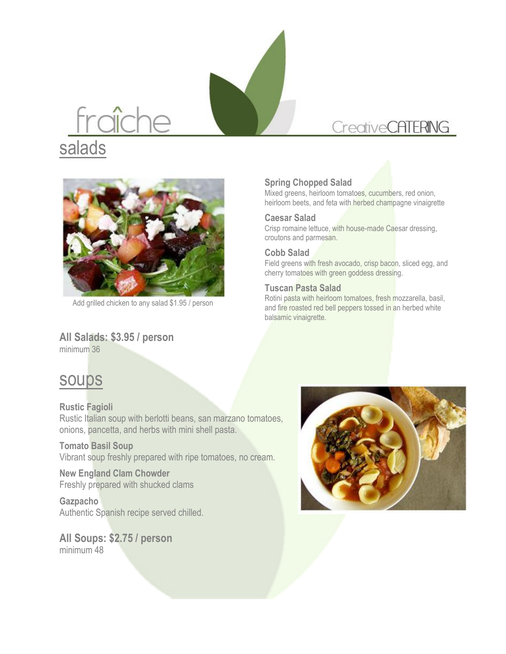## **CreativeCATERING**

# fraîche salads



Add grilled chicken to any salad \$1.95 / person

**All Salads: \$3.95 / person** minimum 36

### **Spring Chopped Salad**

Mixed greens, heirloom tomatoes, cucumbers, red onion, heirloom beets, and feta with herbed champagne vinaigrette

### **Caesar Salad**

Crisp romaine lettuce, with house-made Caesar dressing, croutons and parmesan.

### **Cobb Salad**

Field greens with fresh avocado, crisp bacon, sliced egg, and cherry tomatoes with green goddess dressing.

### **Tuscan Pasta Salad**

Rotini pasta with heirloom tomatoes, fresh mozzarella, basil, and fire roasted red bell peppers tossed in an herbed white balsamic vinaigrette.

### soups

**Rustic Fagioli** Rustic Italian soup with berlotti beans, san marzano tomatoes, onions, pancetta, and herbs with mini shell pasta.

**Tomato Basil Soup** Vibrant soup freshly prepared with ripe tomatoes, no cream.

**New England Clam Chowder** Freshly prepared with shucked clams

**Gazpacho** Authentic Spanish recipe served chilled.

**All Soups: \$2.75 / person** minimum 48

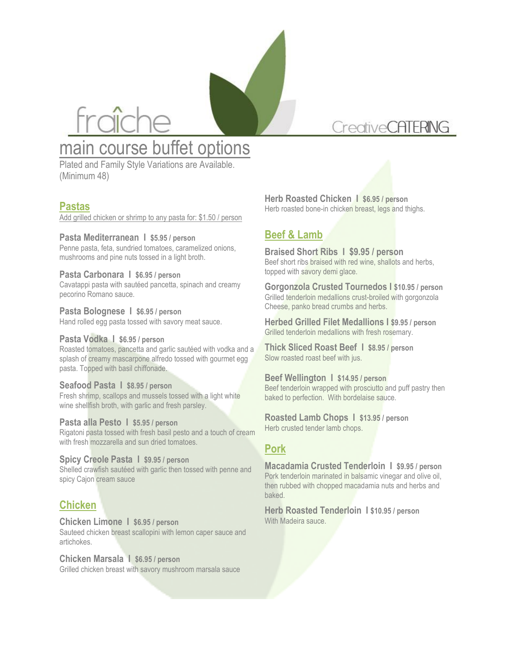

# main course buffet options

Plated and Family Style Variations are Available. (Minimum 48)

### **Pastas**

Add grilled chicken or shrimp to any pasta for: \$1.50 / person

**Pasta Mediterranean I \$5.95 / person** Penne pasta, feta, sundried tomatoes, caramelized onions, mushrooms and pine nuts tossed in a light broth.

**Pasta Carbonara I \$6.95 / person** Cavatappi pasta with sautéed pancetta, spinach and creamy pecorino Romano sauce.

**Pasta Bolognese I \$6.95 / person** Hand rolled egg pasta tossed with savory meat sauce.

**Pasta Vodka I \$6.95 / person**

Roasted tomatoes, pancetta and garlic sautéed with vodka and a splash of creamy mascarpone alfredo tossed with gourmet egg pasta. Topped with basil chiffonade.

**Seafood Pasta I \$8.95 / person**

Fresh shrimp, scallops and mussels tossed with a light white wine shellfish broth, with garlic and fresh parsley.

**Pasta alla Pesto I \$5.95 / person**

Rigatoni pasta tossed with fresh basil pesto and a touch of cream with fresh mozzarella and sun dried tomatoes.

**Spicy Creole Pasta I \$9.95 / person** Shelled crawfish sautéed with garlic then tossed with penne and spicy Cajon cream sauce

### **Chicken**

**Chicken Limone I \$6.95 / person**

Sauteed chicken breast scallopini with lemon caper sauce and artichokes.

**Chicken Marsala I \$6.95 / person** Grilled chicken breast with savory mushroom marsala sauce **Herb Roasted Chicken I \$6.95 / person** Herb roasted bone-in chicken breast, legs and thighs.

### **Beef & Lamb**

**Braised Short Ribs I \$9.95 / person** Beef short ribs braised with red wine, shallots and herbs, topped with savory demi glace.

**Gorgonzola Crusted Tournedos I \$10.95 / person** Grilled tenderloin medallions crust-broiled with gorgonzola Cheese, panko bread crumbs and herbs.

**Herbed Grilled Filet Medallions I \$9.95 / person** Grilled tenderloin medallions with fresh rosemary.

**Thick Sliced Roast Beef I \$8.95 / person** Slow roasted roast beef with jus.

**Beef Wellington I \$14.95 / person** Beef tenderloin wrapped with prosciutto and puff pastry then baked to perfection. With bordelaise sauce.

**Roasted Lamb Chops I \$13.95 / person** Herb crusted tender lamb chops.

### **Pork**

**Macadamia Crusted Tenderloin I \$9.95 / person** Pork tenderloin marinated in balsamic vinegar and olive oil, then rubbed with chopped macadamia nuts and herbs and baked.

**Herb Roasted Tenderloin I \$10.95 / person** With Madeira sauce.

# **CreativeCATFRING**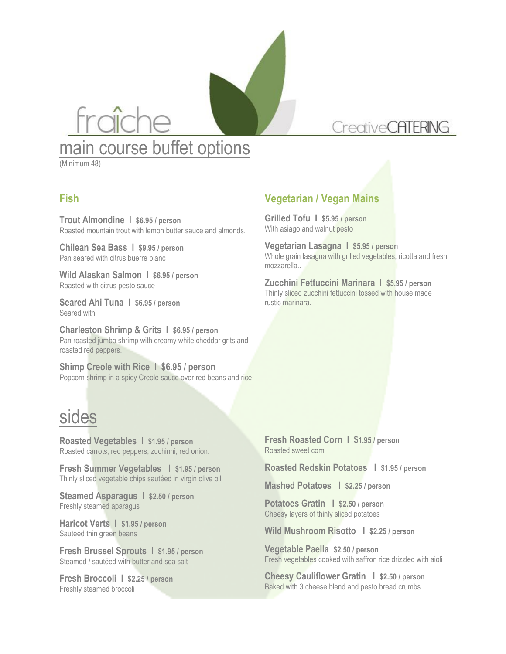

(Minimum 48)

### **Fish**

**Trout Almondine I \$6.95 / person**  Roasted mountain trout with lemon butter sauce and almonds.

**Chilean Sea Bass I \$9.95 / person** Pan seared with citrus buerre blanc

**Wild Alaskan Salmon I \$6.95 / person** Roasted with citrus pesto sauce

**Seared Ahi Tuna I \$6.95 / person** Seared with

**Charleston Shrimp & Grits I \$6.95 / person**  Pan roasted jumbo shrimp with creamy white cheddar grits and roasted red peppers.

**Shimp Creole with Rice I \$6.95 / person** Popcorn shrimp in a spicy Creole sauce over red beans and rice

## sides

**Roasted Vegetables I \$1.95 / person** Roasted carrots, red peppers, zuchinni, red onion.

**Fresh Summer Vegetables I \$1.95 / person** Thinly sliced vegetable chips sautéed in virgin olive oil

**Steamed Asparagus I \$2.50 / person** Freshly steamed aparagus

**Haricot Verts I \$1.95 / person** Sauteed thin green beans

**Fresh Brussel Sprouts I \$1.95 / person** Steamed / sautéed with butter and sea salt

**Fresh Broccoli I \$2.25 / person** Freshly steamed broccoli

### **Vegetarian / Vegan Mains**

**Grilled Tofu I \$5.95 / person**  With asiago and walnut pesto

**Vegetarian Lasagna I \$5.95 / person**  Whole grain lasagna with grilled vegetables, ricotta and fresh mozzarella..

**Zucchini Fettuccini Marinara I \$5.95 / person**  Thinly sliced zucchini fettuccini tossed with house made rustic marinara.

**Fresh Roasted Corn I \$1.95 / person** Roasted sweet corn

**Roasted Redskin Potatoes I \$1.95 / person**

**Mashed Potatoes I \$2.25 / person**

**Potatoes Gratin I \$2.50 / person** Cheesy layers of thinly sliced potatoes

**Wild Mushroom Risotto I \$2.25 / person**

**Vegetable Paella \$2.50 / person** Fresh vegetables cooked with saffron rice drizzled with aioli

**Cheesy Cauliflower Gratin I \$2.50 / person** Baked with 3 cheese blend and pesto bread crumbs

# **CreativeCATFRING**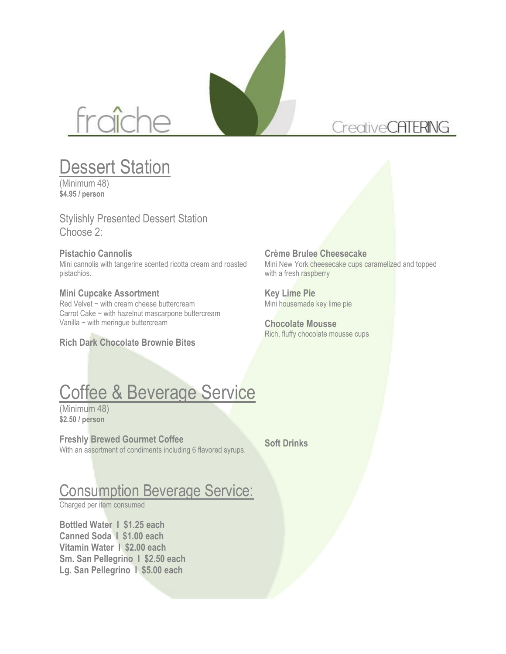

# **Dessert Station**

(Minimum 48) **\$4.95 / person**

Stylishly Presented Dessert Station Choose 2:

### **Pistachio Cannolis**

Mini cannolis with tangerine scented ricotta cream and roasted pistachios.

### **Mini Cupcake Assortment**

Red Velvet ~ with cream cheese buttercream Carrot Cake ~ with hazelnut mascarpone buttercream Vanilla ~ with meringue buttercream

**Rich Dark Chocolate Brownie Bites**

## **Crème Brulee Cheesecake**

Mini New York cheesecake cups caramelized and topped with a fresh raspberry

**CreativeCATERING** 

**Key Lime Pie** Mini housemade key lime pie

**Chocolate Mousse** Rich, fluffy chocolate mousse cups

# Coffee & Beverage Service

(Minimum 48) **\$2.50 / person**

### **Freshly Brewed Gourmet Coffee**

With an assortment of condiments including 6 flavored syrups.

**Soft Drinks**

## Consumption Beverage Service:

Charged per item consumed

**Bottled Water I \$1.25 each Canned Soda I \$1.00 each Vitamin Water I \$2.00 each Sm. San Pellegrino I \$2.50 each Lg. San Pellegrino I \$5.00 each**